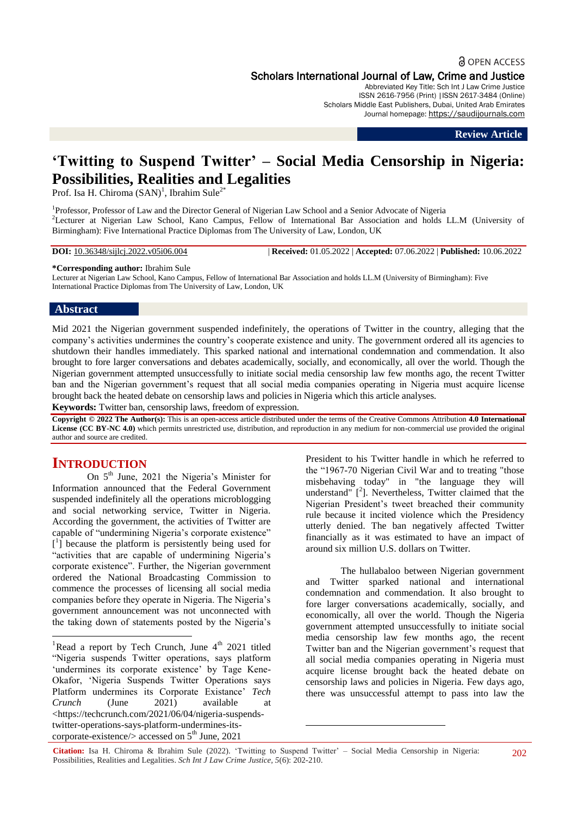# **a** OPEN ACCESS

Scholars International Journal of Law, Crime and Justice

Abbreviated Key Title: Sch Int J Law Crime Justice ISSN 2616-7956 (Print) |ISSN 2617-3484 (Online) Scholars Middle East Publishers, Dubai, United Arab Emirates Journal homepage: https://saudijournals.com

**Review Article**

# **"Twitting to Suspend Twitter" – Social Media Censorship in Nigeria: Possibilities, Realities and Legalities**

Prof. Isa H. Chiroma  $(SAN)^1$ , Ibrahim Sule<sup>2\*</sup>

<sup>1</sup>Professor, Professor of Law and the Director General of Nigerian Law School and a Senior Advocate of Nigeria <sup>2</sup>Lecturer at Nigerian Law School, Kano Campus, Fellow of International Bar Association and holds LL.M (University of Birmingham): Five International Practice Diplomas from The University of Law, London, UK

**DOI:** 10.36348/sijlcj.2022.v05i06.004 | **Received:** 01.05.2022 | **Accepted:** 07.06.2022 | **Published:** 10.06.2022

**\*Corresponding author:** Ibrahim Sule

Lecturer at Nigerian Law School, Kano Campus, Fellow of International Bar Association and holds LL.M (University of Birmingham): Five International Practice Diplomas from The University of Law, London, UK

# **Abstract**

Mid 2021 the Nigerian government suspended indefinitely, the operations of Twitter in the country, alleging that the company"s activities undermines the country"s cooperate existence and unity. The government ordered all its agencies to shutdown their handles immediately. This sparked national and international condemnation and commendation. It also brought to fore larger conversations and debates academically, socially, and economically, all over the world. Though the Nigerian government attempted unsuccessfully to initiate social media censorship law few months ago, the recent Twitter ban and the Nigerian government's request that all social media companies operating in Nigeria must acquire license brought back the heated debate on censorship laws and policies in Nigeria which this article analyses.

**Keywords:** Twitter ban, censorship laws, freedom of expression.

**Copyright © 2022 The Author(s):** This is an open-access article distributed under the terms of the Creative Commons Attribution **4.0 International License (CC BY-NC 4.0)** which permits unrestricted use, distribution, and reproduction in any medium for non-commercial use provided the original author and source are credited.

# **INTRODUCTION**

**.** 

On 5<sup>th</sup> June, 2021 the Nigeria's Minister for Information announced that the Federal Government suspended indefinitely all the operations microblogging and social networking service, Twitter in Nigeria. According the government, the activities of Twitter are capable of "undermining Nigeria's corporate existence" [ 1 ] because the platform is persistently being used for "activities that are capable of undermining Nigeria's corporate existence". Further, the Nigerian government ordered the National Broadcasting Commission to commence the processes of licensing all social media companies before they operate in Nigeria. The Nigeria"s government announcement was not unconnected with the taking down of statements posted by the Nigeria"s

President to his Twitter handle in which he referred to the "1967-70 Nigerian Civil War and to treating "those misbehaving today" in "the language they will understand"  $[{}^{2}$ ]. Nevertheless, Twitter claimed that the Nigerian President"s tweet breached their community rule because it incited violence which the Presidency utterly denied. The ban negatively affected Twitter financially as it was estimated to have an impact of around six million U.S. dollars on Twitter.

The hullabaloo between Nigerian government and Twitter sparked national and international condemnation and commendation. It also brought to fore larger conversations academically, socially, and economically, all over the world. Though the Nigeria government attempted unsuccessfully to initiate social media censorship law few months ago, the recent Twitter ban and the Nigerian government's request that all social media companies operating in Nigeria must acquire license brought back the heated debate on censorship laws and policies in Nigeria. Few days ago, there was unsuccessful attempt to pass into law the

 $\overline{a}$ 

<sup>&</sup>lt;sup>1</sup>Read a report by Tech Crunch, June  $4<sup>th</sup>$  2021 titled "Nigeria suspends Twitter operations, says platform 'undermines its corporate existence' by Tage Kene-Okafor, "Nigeria Suspends Twitter Operations says Platform undermines its Corporate Existance' Tech *Crunch* (June 2021) available at [<https://techcrunch.com/2021/06/04/nigeria-suspends](https://techcrunch.com/2021/06/04/nigeria-suspends-twitter-operations-says-platform-undermines-its-corporate-existence/)[twitter-operations-says-platform-undermines-its](https://techcrunch.com/2021/06/04/nigeria-suspends-twitter-operations-says-platform-undermines-its-corporate-existence/)corporate-existence/ $>$  accessed on  $5<sup>th</sup>$  June, 2021

**Citation:** Isa H. Chiroma & Ibrahim Sule (2022). "Twitting to Suspend Twitter" – Social Media Censorship in Nigeria: Possibilities, Realities and Legalities. *Sch Int J Law Crime Justice, 5*(6): 202-210.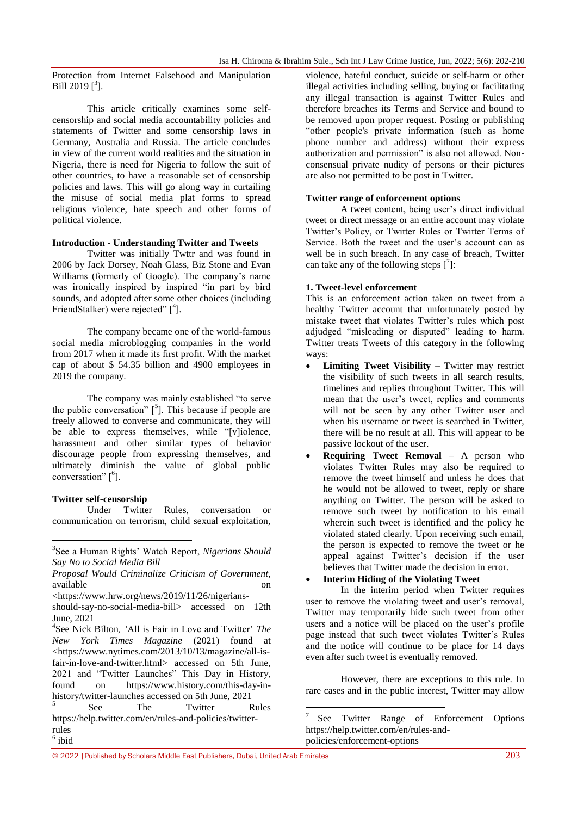Protection from Internet Falsehood and Manipulation Bill 2019 $[^3]$ .

This article critically examines some selfcensorship and social media accountability policies and statements of Twitter and some censorship laws in Germany, Australia and Russia. The article concludes in view of the current world realities and the situation in Nigeria, there is need for Nigeria to follow the suit of other countries, to have a reasonable set of censorship policies and laws. This will go along way in curtailing the misuse of social media plat forms to spread religious violence, hate speech and other forms of political violence.

# **Introduction - Understanding Twitter and Tweets**

Twitter was initially Twttr and was found in 2006 by Jack Dorsey, Noah Glass, Biz Stone and Evan Williams (formerly of Google). The company's name was ironically inspired by inspired "in part by bird sounds, and adopted after some other choices (including FriendStalker) were rejected" [<sup>4</sup>].

The company became one of the world-famous social media microblogging companies in the world from 2017 when it made its first profit. With the market cap of about \$ 54.35 billion and 4900 employees in 2019 the company.

The company was mainly established "to serve the public conversation"  $\binom{5}{1}$ . This because if people are freely allowed to converse and communicate, they will be able to express themselves, while "[v]iolence, harassment and other similar types of behavior discourage people from expressing themselves, and ultimately diminish the value of global public conversation"  $\lceil^6\rceil$ .

# **Twitter self-censorship**

1

Under Twitter Rules, conversation or communication on terrorism, child sexual exploitation,

*Proposal Would Criminalize Criticism of Government*, available on one on the one on the set of  $\alpha$ 

<sup>4</sup>See Nick Bilton, 'All is Fair in Love and Twitter' *The New York Times Magazine* (2021) found at [<https://www.nytimes.com/2013/10/13/magazine/all-is](https://www.nytimes.com/2013/10/13/magazine/all-is-fair-in-love-and-twitter.html)[fair-in-love-and-twitter.html>](https://www.nytimes.com/2013/10/13/magazine/all-is-fair-in-love-and-twitter.html) accessed on 5th June, 2021 and "Twitter Launches" This Day in History, found on [https://www.history.com/this-day-in](https://www.history.com/this-day-in-history/twitter-launches)[history/twitter-launches](https://www.history.com/this-day-in-history/twitter-launches) accessed on 5th June, 2021 5 See The Twitter Rules

[https://help.twitter.com/en/rules-and-policies/twitter](https://help.twitter.com/en/rules-and-policies/twitter-rules)[rules](https://help.twitter.com/en/rules-and-policies/twitter-rules) 6 ibid

violence, hateful conduct, suicide or self-harm or other illegal activities including selling, buying or facilitating any illegal transaction is against Twitter Rules and therefore breaches its Terms and Service and bound to be removed upon proper request. Posting or publishing "other people's private information (such as home phone number and address) without their express authorization and permission" is also not allowed. Nonconsensual private nudity of persons or their pictures are also not permitted to be post in Twitter.

#### **Twitter range of enforcement options**

A tweet content, being user"s direct individual tweet or direct message or an entire account may violate Twitter"s Policy, or Twitter Rules or Twitter Terms of Service. Both the tweet and the user's account can as well be in such breach. In any case of breach, Twitter can take any of the following steps  $\left[ \right]$ :

# **1. Tweet-level enforcement**

This is an enforcement action taken on tweet from a healthy Twitter account that unfortunately posted by mistake tweet that violates Twitter"s rules which post adjudged "misleading or disputed" leading to harm. Twitter treats Tweets of this category in the following ways:

- **Limiting Tweet Visibility** Twitter may restrict the visibility of such tweets in all search results, timelines and replies throughout Twitter. This will mean that the user"s tweet, replies and comments will not be seen by any other Twitter user and when his username or tweet is searched in Twitter. there will be no result at all. This will appear to be passive lockout of the user.
- **Requiring Tweet Removal** A person who violates Twitter Rules may also be required to remove the tweet himself and unless he does that he would not be allowed to tweet, reply or share anything on Twitter. The person will be asked to remove such tweet by notification to his email wherein such tweet is identified and the policy he violated stated clearly. Upon receiving such email, the person is expected to remove the tweet or he appeal against Twitter"s decision if the user believes that Twitter made the decision in error.

# **Interim Hiding of the Violating Tweet**

 $\overline{\phantom{a}}$ 

In the interim period when Twitter requires user to remove the violating tweet and user's removal. Twitter may temporarily hide such tweet from other users and a notice will be placed on the user's profile page instead that such tweet violates Twitter's Rules and the notice will continue to be place for 14 days even after such tweet is eventually removed.

However, there are exceptions to this rule. In rare cases and in the public interest, Twitter may allow

© 2022 |Published by Scholars Middle East Publishers, Dubai, United Arab Emirates 203

<sup>3</sup> See a Human Rights" Watch Report, *Nigerians Should Say No to Social Media Bill*

[<sup>&</sup>lt;https://www.hrw.org/news/2019/11/26/nigerians-](https://www.hrw.org/news/2019/11/26/nigerians-should-say-no-social-media-bill)

[should-say-no-social-media-bill>](https://www.hrw.org/news/2019/11/26/nigerians-should-say-no-social-media-bill) accessed on 12th June, 2021

<sup>7</sup> See Twitter Range of Enforcement Options [https://help.twitter.com/en/rules-and](https://help.twitter.com/en/rules-and-policies/enforcement-options)[policies/enforcement-options](https://help.twitter.com/en/rules-and-policies/enforcement-options)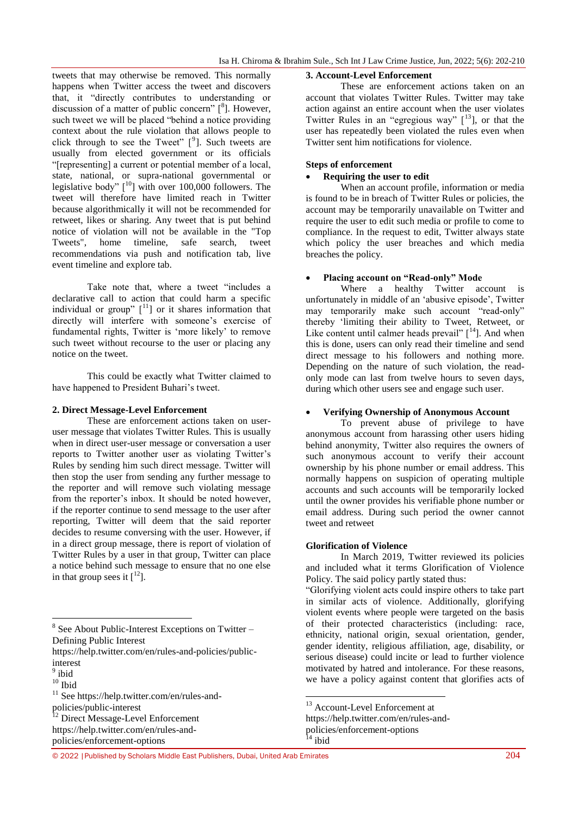tweets that may otherwise be removed. This normally happens when Twitter access the tweet and discovers that, it "directly contributes to understanding or discussion of a matter of public concern"  $[{}^8]$ . However, such tweet we will be placed "behind a notice providing context about the rule violation that allows people to click through to see the Tweet"  $[9]$ . Such tweets are usually from elected government or its officials "[representing] a current or potential member of a local, state, national, or supra-national governmental or legislative body"  $[10]$  with over 100,000 followers. The tweet will therefore have limited reach in Twitter because algorithmically it will not be recommended for retweet, likes or sharing. Any tweet that is put behind notice of violation will not be available in the "Top Tweets", home timeline, safe search, tweet recommendations via push and notification tab, live event timeline and explore tab.

Take note that, where a tweet "includes a declarative call to action that could harm a specific individual or group"  $[11]$  or it shares information that directly will interfere with someone's exercise of fundamental rights, Twitter is 'more likely' to remove such tweet without recourse to the user or placing any notice on the tweet.

This could be exactly what Twitter claimed to have happened to President Buhari's tweet.

#### **2. Direct Message-Level Enforcement**

These are enforcement actions taken on useruser message that violates Twitter Rules. This is usually when in direct user-user message or conversation a user reports to Twitter another user as violating Twitter"s Rules by sending him such direct message. Twitter will then stop the user from sending any further message to the reporter and will remove such violating message from the reporter's inbox. It should be noted however. if the reporter continue to send message to the user after reporting, Twitter will deem that the said reporter decides to resume conversing with the user. However, if in a direct group message, there is report of violation of Twitter Rules by a user in that group, Twitter can place a notice behind such message to ensure that no one else in that group sees it  $\lceil 12 \rceil$ .

[https://help.twitter.com/en/rules-and-policies/public](https://help.twitter.com/en/rules-and-policies/public-interest)[interest](https://help.twitter.com/en/rules-and-policies/public-interest)

**.** 

<sup>12</sup> Direct Message-Level Enforcement [https://help.twitter.com/en/rules-and](https://help.twitter.com/en/rules-and-policies/enforcement-options)[policies/enforcement-options](https://help.twitter.com/en/rules-and-policies/enforcement-options)

#### **3. Account-Level Enforcement**

These are enforcement actions taken on an account that violates Twitter Rules. Twitter may take action against an entire account when the user violates Twitter Rules in an "egregious way"  $[13]$ , or that the user has repeatedly been violated the rules even when Twitter sent him notifications for violence.

#### **Steps of enforcement**

#### **Requiring the user to edit**

When an account profile, information or media is found to be in breach of Twitter Rules or policies, the account may be temporarily unavailable on Twitter and require the user to edit such media or profile to come to compliance. In the request to edit, Twitter always state which policy the user breaches and which media breaches the policy.

# **Placing account on "Read-only" Mode**

Where a healthy Twitter account is unfortunately in middle of an "abusive episode", Twitter may temporarily make such account "read-only" thereby "limiting their ability to Tweet, Retweet, or Like content until calmer heads prevail"  $\int_1^{14}$ . And when this is done, users can only read their timeline and send direct message to his followers and nothing more. Depending on the nature of such violation, the readonly mode can last from twelve hours to seven days, during which other users see and engage such user.

#### **Verifying Ownership of Anonymous Account**

To prevent abuse of privilege to have anonymous account from harassing other users hiding behind anonymity, Twitter also requires the owners of such anonymous account to verify their account ownership by his phone number or email address. This normally happens on suspicion of operating multiple accounts and such accounts will be temporarily locked until the owner provides his verifiable phone number or email address. During such period the owner cannot tweet and retweet

# **Glorification of Violence**

In March 2019, Twitter reviewed its policies and included what it terms Glorification of Violence Policy. The said policy partly stated thus:

"Glorifying violent acts could inspire others to take part in similar acts of violence. Additionally, glorifying violent events where people were targeted on the basis of their protected characteristics (including: race, ethnicity, national origin, sexual orientation, gender, gender identity, religious affiliation, age, disability, or serious disease) could incite or lead to further violence motivated by hatred and intolerance. For these reasons, we have a policy against content that glorifies acts of

1

© 2022 |Published by Scholars Middle East Publishers, Dubai, United Arab Emirates 204

<sup>&</sup>lt;sup>8</sup> See About Public-Interest Exceptions on Twitter -Defining Public Interest

<sup>&</sup>lt;sup>9</sup> ibid

 $10$  Ibid

<sup>11</sup> See [https://help.twitter.com/en/rules-and](https://help.twitter.com/en/rules-and-policies/public-interest)[policies/public-interest](https://help.twitter.com/en/rules-and-policies/public-interest)

<sup>&</sup>lt;sup>13</sup> Account-Level Enforcement at

[https://help.twitter.com/en/rules-and](https://help.twitter.com/en/rules-and-policies/enforcement-options)[policies/enforcement-options](https://help.twitter.com/en/rules-and-policies/enforcement-options)

 $^{14}$  ibid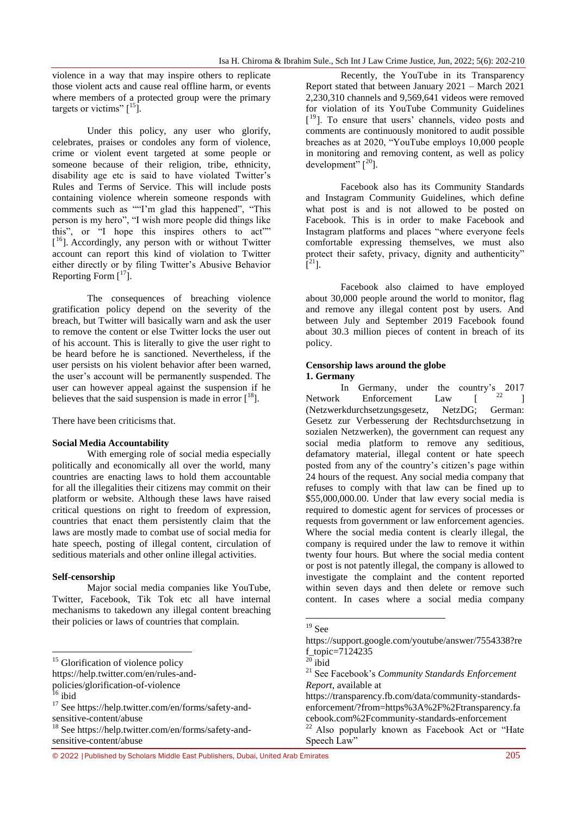violence in a way that may inspire others to replicate those violent acts and cause real offline harm, or events where members of a protected group were the primary targets or victims"  $\lceil \frac{15}{1} \rceil$ .

Under this policy, any user who glorify, celebrates, praises or condoles any form of violence, crime or violent event targeted at some people or someone because of their religion, tribe, ethnicity, disability age etc is said to have violated Twitter's Rules and Terms of Service. This will include posts containing violence wherein someone responds with comments such as ""I'm glad this happened", "This person is my hero", "I wish more people did things like this", or "I hope this inspires others to act"" [<sup>16</sup>]. Accordingly, any person with or without Twitter account can report this kind of violation to Twitter either directly or by filing Twitter"s Abusive Behavior Reporting Form  $[17]$ .

The consequences of breaching violence gratification policy depend on the severity of the breach, but Twitter will basically warn and ask the user to remove the content or else Twitter locks the user out of his account. This is literally to give the user right to be heard before he is sanctioned. Nevertheless, if the user persists on his violent behavior after been warned, the user's account will be permanently suspended. The user can however appeal against the suspension if he believes that the said suspension is made in error  $[18]$ .

There have been criticisms that.

# **Social Media Accountability**

With emerging role of social media especially politically and economically all over the world, many countries are enacting laws to hold them accountable for all the illegalities their citizens may commit on their platform or website. Although these laws have raised critical questions on right to freedom of expression, countries that enact them persistently claim that the laws are mostly made to combat use of social media for hate speech, posting of illegal content, circulation of seditious materials and other online illegal activities.

# **Self-censorship**

Major social media companies like YouTube, Twitter, Facebook, Tik Tok etc all have internal mechanisms to takedown any illegal content breaching their policies or laws of countries that complain.

1

Recently, the YouTube in its Transparency Report stated that between January 2021 – March 2021 2,230,310 channels and 9,569,641 videos were removed for violation of its YouTube Community Guidelines [<sup>19</sup>]. To ensure that users' channels, video posts and comments are continuously monitored to audit possible breaches as at 2020, "YouTube employs 10,000 people in monitoring and removing content, as well as policy development"  $[20]$ .

Facebook also has its Community Standards and Instagram Community Guidelines, which define what post is and is not allowed to be posted on Facebook. This is in order to make Facebook and Instagram platforms and places "where everyone feels comfortable expressing themselves, we must also protect their safety, privacy, dignity and authenticity"  $\tilde{[}^{21}$ ].

Facebook also claimed to have employed about 30,000 people around the world to monitor, flag and remove any illegal content post by users. And between July and September 2019 Facebook found about 30.3 million pieces of content in breach of its policy.

#### **Censorship laws around the globe 1. Germany**

In Germany, under the country's 2017 Network Enforcement Law  $\begin{bmatrix} 22 & 1 \end{bmatrix}$ (Netzwerkdurchsetzungsgesetz, NetzDG; German: Gesetz zur Verbesserung der Rechtsdurchsetzung in sozialen Netzwerken), the government can request any social media platform to remove any seditious, defamatory material, illegal content or hate speech posted from any of the country's citizen's page within 24 hours of the request. Any social media company that refuses to comply with that law can be fined up to \$55,000,000.00. Under that law every social media is required to domestic agent for services of processes or requests from government or law enforcement agencies. Where the social media content is clearly illegal, the company is required under the law to remove it within twenty four hours. But where the social media content or post is not patently illegal, the company is allowed to investigate the complaint and the content reported within seven days and then delete or remove such content. In cases where a social media company

<sup>&</sup>lt;sup>15</sup> Glorification of violence policy

[https://help.twitter.com/en/rules-and-](https://help.twitter.com/en/rules-and-policies/glorification-of-violence)

[policies/glorification-of-violence](https://help.twitter.com/en/rules-and-policies/glorification-of-violence)

 $16$  ibid

<sup>&</sup>lt;sup>17</sup> See [https://help.twitter.com/en/forms/safety-and](https://help.twitter.com/en/forms/safety-and-sensitive-content/abuse)[sensitive-content/abuse](https://help.twitter.com/en/forms/safety-and-sensitive-content/abuse)

<sup>18</sup> See [https://help.twitter.com/en/forms/safety-and](https://help.twitter.com/en/forms/safety-and-sensitive-content/abuse)[sensitive-content/abuse](https://help.twitter.com/en/forms/safety-and-sensitive-content/abuse)

<sup>1</sup>  $^{19}$  See

[https://support.google.com/youtube/answer/7554338?re](https://support.google.com/youtube/answer/7554338?ref_topic=7124235) [f\\_topic=7124235](https://support.google.com/youtube/answer/7554338?ref_topic=7124235)

 $20$  ibid

<sup>21</sup> See Facebook"s *Community Standards Enforcement Report*, available at

[https://transparency.fb.com/data/community-standards](https://transparency.fb.com/data/community-standards-enforcement/?from=https%3A%2F%2Ftransparency.facebook.com%2Fcommunity-standards-enforcement)[enforcement/?from=https%3A%2F%2Ftransparency.fa](https://transparency.fb.com/data/community-standards-enforcement/?from=https%3A%2F%2Ftransparency.facebook.com%2Fcommunity-standards-enforcement) [cebook.com%2Fcommunity-standards-enforcement](https://transparency.fb.com/data/community-standards-enforcement/?from=https%3A%2F%2Ftransparency.facebook.com%2Fcommunity-standards-enforcement) <sup>22</sup> Also popularly known as Facebook Act or "Hate

Speech Law"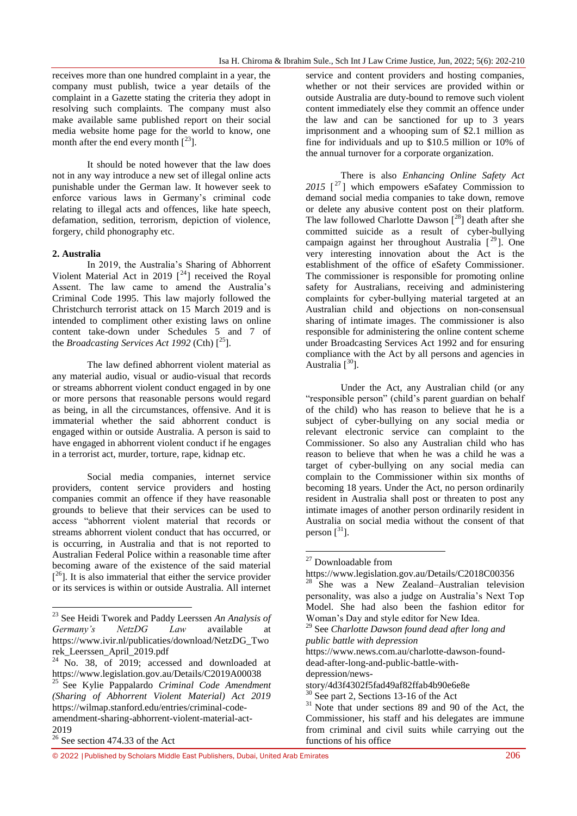receives more than one hundred complaint in a year, the company must publish, twice a year details of the complaint in a Gazette stating the criteria they adopt in resolving such complaints. The company must also make available same published report on their social media website home page for the world to know, one month after the end every month  $\lceil^{23} \rceil$ .

It should be noted however that the law does not in any way introduce a new set of illegal online acts punishable under the German law. It however seek to enforce various laws in Germany"s criminal code relating to illegal acts and offences, like hate speech, defamation, sedition, terrorism, depiction of violence, forgery, child phonography etc.

# **2. Australia**

In 2019, the Australia"s Sharing of Abhorrent Violent Material Act in 2019  $[^{24}]$  received the Royal Assent. The law came to amend the Australia"s Criminal Code 1995. This law majorly followed the Christchurch terrorist attack on 15 March 2019 and is intended to compliment other existing laws on online content take-down under Schedules 5 and 7 of the *Broadcasting Services Act 1992* (Cth)  $\int^{25}$ 1.

The law defined abhorrent violent material as any material audio, visual or audio-visual that records or streams abhorrent violent conduct engaged in by one or more persons that reasonable persons would regard as being, in all the circumstances, offensive. And it is immaterial whether the said abhorrent conduct is engaged within or outside Australia. A person is said to have engaged in abhorrent violent conduct if he engages in a terrorist act, murder, torture, rape, kidnap etc.

Social media companies, internet service providers, content service providers and hosting companies commit an offence if they have reasonable grounds to believe that their services can be used to access "abhorrent violent material that records or streams abhorrent violent conduct that has occurred, or is occurring, in Australia and that is not reported to Australian Federal Police within a reasonable time after becoming aware of the existence of the said material  $[<sup>26</sup>]$ . It is also immaterial that either the service provider or its services is within or outside Australia. All internet

1

service and content providers and hosting companies, whether or not their services are provided within or outside Australia are duty-bound to remove such violent content immediately else they commit an offence under the law and can be sanctioned for up to 3 years imprisonment and a whooping sum of \$2.1 million as fine for individuals and up to \$10.5 million or 10% of the annual turnover for a corporate organization.

There is also *Enhancing Online Safety Act*  2015<sup>[27</sup>] which empowers eSafatey Commission to demand social media companies to take down, remove or delete any abusive content post on their platform. The law followed Charlotte Dawson  $[28]$  death after she committed suicide as a result of cyber-bullying campaign against her throughout Australia  $[29]$ . One very interesting innovation about the Act is the establishment of the office of eSafety Commissioner. The commissioner is responsible for promoting online safety for Australians, receiving and administering complaints for cyber-bullying material targeted at an Australian child and objections on non-consensual sharing of intimate images. The commissioner is also responsible for administering the online content scheme under Broadcasting Services Act 1992 and for ensuring compliance with the Act by all persons and agencies in Australia  $\int^{30}$ ].

Under the Act, any Australian child (or any "responsible person" (child"s parent guardian on behalf of the child) who has reason to believe that he is a subject of cyber-bullying on any social media or relevant electronic service can complaint to the Commissioner. So also any Australian child who has reason to believe that when he was a child he was a target of cyber-bullying on any social media can complain to the Commissioner within six months of becoming 18 years. Under the Act, no person ordinarily resident in Australia shall post or threaten to post any intimate images of another person ordinarily resident in Australia on social media without the consent of that person  $\lceil$ <sup>31</sup>].

1

<sup>29</sup> See *Charlotte Dawson found dead after long and public battle with depression* [https://www.news.com.au/charlotte-dawson-found](https://www.news.com.au/charlotte-dawson-found-dead-after-long-and-public-battle-with-depression/news-story/4d3f4302f5fad49af82ffab4b90e6e8e)[dead-after-long-and-public-battle-with](https://www.news.com.au/charlotte-dawson-found-dead-after-long-and-public-battle-with-depression/news-story/4d3f4302f5fad49af82ffab4b90e6e8e)[depression/news](https://www.news.com.au/charlotte-dawson-found-dead-after-long-and-public-battle-with-depression/news-story/4d3f4302f5fad49af82ffab4b90e6e8e)[story/4d3f4302f5fad49af82ffab4b90e6e8e](https://www.news.com.au/charlotte-dawson-found-dead-after-long-and-public-battle-with-depression/news-story/4d3f4302f5fad49af82ffab4b90e6e8e)  $30$  See part 2, Sections 13-16 of the Act  $31$  Note that under sections 89 and 90 of the Act, the

© 2022 |Published by Scholars Middle East Publishers, Dubai, United Arab Emirates 206

<sup>23</sup> See Heidi Tworek and Paddy Leerssen *An Analysis of Germany's NetzDG Law* available at [https://www.ivir.nl/publicaties/download/NetzDG\\_Two](https://www.ivir.nl/publicaties/download/NetzDG_Tworek_Leerssen_April_2019.pdf) [rek\\_Leerssen\\_April\\_2019.pdf](https://www.ivir.nl/publicaties/download/NetzDG_Tworek_Leerssen_April_2019.pdf)

 $24$  No. 38, of 2019; accessed and downloaded at <https://www.legislation.gov.au/Details/C2019A00038> <sup>25</sup> See Kylie Pappalardo *Criminal Code Amendment (Sharing of Abhorrent Violent Material) Act 2019* [https://wilmap.stanford.edu/entries/criminal-code](https://wilmap.stanford.edu/entries/criminal-code-amendment-sharing-abhorrent-violent-material-act-2019)[amendment-sharing-abhorrent-violent-material-act-](https://wilmap.stanford.edu/entries/criminal-code-amendment-sharing-abhorrent-violent-material-act-2019)[2019](https://wilmap.stanford.edu/entries/criminal-code-amendment-sharing-abhorrent-violent-material-act-2019)

 $26 \text{ See section } 474.33 \text{ of the Act}$ 

<sup>&</sup>lt;sup>27</sup> Downloadable from

<https://www.legislation.gov.au/Details/C2018C00356> She was a New Zealand–Australian television personality, was also a judge on Australia"s Next Top Model. She had also been the fashion editor for Woman"s Day and style editor for New Idea.

Commissioner, his staff and his delegates are immune from criminal and civil suits while carrying out the functions of his office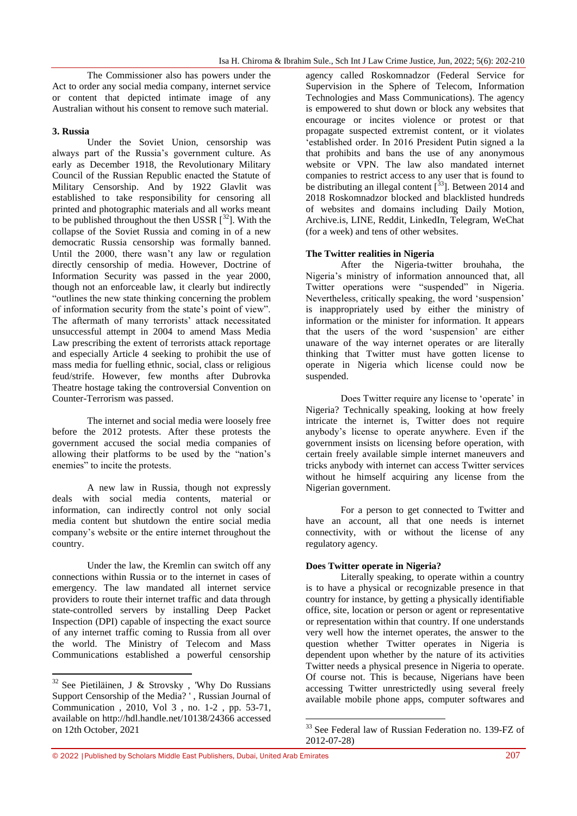The Commissioner also has powers under the Act to order any social media company, internet service or content that depicted intimate image of any Australian without his consent to remove such material.

# **3. Russia**

Under the Soviet Union, censorship was always part of the Russia"s government culture. As early as December 1918, the Revolutionary Military Council of the Russian Republic enacted the Statute of Military Censorship. And by 1922 Glavlit was established to take responsibility for censoring all printed and photographic materials and all works meant to be published throughout the then USSR  $[32]$ . With the collapse of the Soviet Russia and coming in of a new democratic Russia censorship was formally banned. Until the 2000, there wasn"t any law or regulation directly censorship of media. However, Doctrine of Information Security was passed in the year 2000, though not an enforceable law, it clearly but indirectly "outlines the new state thinking concerning the problem of information security from the state"s point of view". The aftermath of many terrorists' attack necessitated unsuccessful attempt in 2004 to amend Mass Media Law prescribing the extent of terrorists attack reportage and especially Article 4 seeking to prohibit the use of mass media for fuelling ethnic, social, class or religious feud/strife. However, few months after Dubrovka Theatre hostage taking the controversial Convention on Counter-Terrorism was passed.

The internet and social media were loosely free before the 2012 protests. After these protests the government accused the social media companies of allowing their platforms to be used by the "nation"s enemies" to incite the protests.

A new law in Russia, though not expressly deals with social media contents, material or information, can indirectly control not only social media content but shutdown the entire social media company"s website or the entire internet throughout the country.

Under the law, the Kremlin can switch off any connections within Russia or to the internet in cases of emergency. The law mandated all internet service providers to route their internet traffic and data through state-controlled servers by installing Deep Packet Inspection (DPI) capable of inspecting the exact source of any internet traffic coming to Russia from all over the world. The Ministry of Telecom and Mass Communications established a powerful censorship

agency called Roskomnadzor (Federal Service for Supervision in the Sphere of Telecom, Information Technologies and Mass Communications). The agency is empowered to shut down or block any websites that encourage or incites violence or protest or that propagate suspected extremist content, or it violates "established order. In 2016 President Putin signed a la that prohibits and bans the use of any anonymous website or VPN. The law also mandated internet companies to restrict access to any user that is found to be distributing an illegal content  $\left[\frac{33}{2}\right]$ . Between 2014 and 2018 Roskomnadzor blocked and blacklisted hundreds of websites and domains including Daily Motion, Archive.is, LINE, Reddit, LinkedIn, Telegram, WeChat (for a week) and tens of other websites.

# **The Twitter realities in Nigeria**

After the Nigeria-twitter brouhaha, the Nigeria"s ministry of information announced that, all Twitter operations were "suspended" in Nigeria. Nevertheless, critically speaking, the word "suspension" is inappropriately used by either the ministry of information or the minister for information. It appears that the users of the word "suspension" are either unaware of the way internet operates or are literally thinking that Twitter must have gotten license to operate in Nigeria which license could now be suspended.

Does Twitter require any license to 'operate' in Nigeria? Technically speaking, looking at how freely intricate the internet is, Twitter does not require anybody"s license to operate anywhere. Even if the government insists on licensing before operation, with certain freely available simple internet maneuvers and tricks anybody with internet can access Twitter services without he himself acquiring any license from the Nigerian government.

For a person to get connected to Twitter and have an account, all that one needs is internet connectivity, with or without the license of any regulatory agency.

# **Does Twitter operate in Nigeria?**

 $\overline{a}$ 

Literally speaking, to operate within a country is to have a physical or recognizable presence in that country for instance, by getting a physically identifiable office, site, location or person or agent or representative or representation within that country. If one understands very well how the internet operates, the answer to the question whether Twitter operates in Nigeria is dependent upon whether by the nature of its activities Twitter needs a physical presence in Nigeria to operate. Of course not. This is because, Nigerians have been accessing Twitter unrestrictedly using several freely available mobile phone apps, computer softwares and

<sup>1</sup>  $32$  See Pietiläinen, J & Strovsky, 'Why Do Russians Support Censorship of the Media? ' , Russian Journal of Communication , 2010, Vol 3 , no. 1-2 , pp. 53-71, available on<http://hdl.handle.net/10138/24366> accessed on 12th October, 2021

<sup>&</sup>lt;sup>33</sup> See Federal law of Russian Federation no. 139-FZ of 2012-07-28)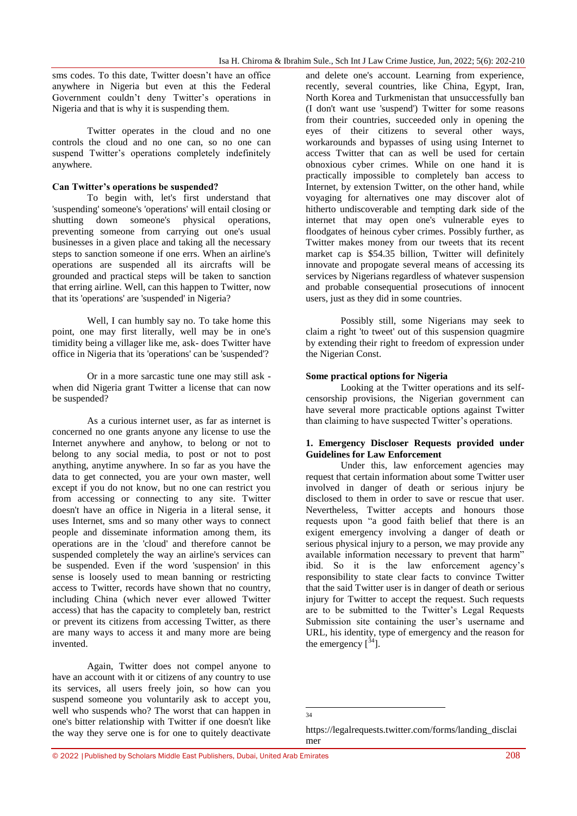sms codes. To this date, Twitter doesn't have an office anywhere in Nigeria but even at this the Federal Government couldn't deny Twitter's operations in Nigeria and that is why it is suspending them.

Twitter operates in the cloud and no one controls the cloud and no one can, so no one can suspend Twitter's operations completely indefinitely anywhere.

# **Can Twitter"s operations be suspended?**

To begin with, let's first understand that 'suspending' someone's 'operations' will entail closing or shutting down someone's physical operations, preventing someone from carrying out one's usual businesses in a given place and taking all the necessary steps to sanction someone if one errs. When an airline's operations are suspended all its aircrafts will be grounded and practical steps will be taken to sanction that erring airline. Well, can this happen to Twitter, now that its 'operations' are 'suspended' in Nigeria?

Well, I can humbly say no. To take home this point, one may first literally, well may be in one's timidity being a villager like me, ask- does Twitter have office in Nigeria that its 'operations' can be 'suspended'?

Or in a more sarcastic tune one may still ask when did Nigeria grant Twitter a license that can now be suspended?

As a curious internet user, as far as internet is concerned no one grants anyone any license to use the Internet anywhere and anyhow, to belong or not to belong to any social media, to post or not to post anything, anytime anywhere. In so far as you have the data to get connected, you are your own master, well except if you do not know, but no one can restrict you from accessing or connecting to any site. Twitter doesn't have an office in Nigeria in a literal sense, it uses Internet, sms and so many other ways to connect people and disseminate information among them, its operations are in the 'cloud' and therefore cannot be suspended completely the way an airline's services can be suspended. Even if the word 'suspension' in this sense is loosely used to mean banning or restricting access to Twitter, records have shown that no country, including China (which never ever allowed Twitter access) that has the capacity to completely ban, restrict or prevent its citizens from accessing Twitter, as there are many ways to access it and many more are being invented.

Again, Twitter does not compel anyone to have an account with it or citizens of any country to use its services, all users freely join, so how can you suspend someone you voluntarily ask to accept you, well who suspends who? The worst that can happen in one's bitter relationship with Twitter if one doesn't like the way they serve one is for one to quitely deactivate

and delete one's account. Learning from experience, recently, several countries, like China, Egypt, Iran, North Korea and Turkmenistan that unsuccessfully ban (I don't want use 'suspend') Twitter for some reasons from their countries, succeeded only in opening the eyes of their citizens to several other ways, workarounds and bypasses of using using Internet to access Twitter that can as well be used for certain obnoxious cyber crimes. While on one hand it is practically impossible to completely ban access to Internet, by extension Twitter, on the other hand, while voyaging for alternatives one may discover alot of hitherto undiscoverable and tempting dark side of the internet that may open one's vulnerable eyes to floodgates of heinous cyber crimes. Possibly further, as Twitter makes money from our tweets that its recent market cap is \$54.35 billion, Twitter will definitely innovate and propogate several means of accessing its services by Nigerians regardless of whatever suspension and probable consequential prosecutions of innocent users, just as they did in some countries.

Possibly still, some Nigerians may seek to claim a right 'to tweet' out of this suspension quagmire by extending their right to freedom of expression under the Nigerian Const.

# **Some practical options for Nigeria**

Looking at the Twitter operations and its selfcensorship provisions, the Nigerian government can have several more practicable options against Twitter than claiming to have suspected Twitter's operations.

# **1. Emergency Discloser Requests provided under Guidelines for Law Enforcement**

Under this, law enforcement agencies may request that certain information about some Twitter user involved in danger of death or serious injury be disclosed to them in order to save or rescue that user. Nevertheless, Twitter accepts and honours those requests upon "a good faith belief that there is an exigent emergency involving a danger of death or serious physical injury to a person, we may provide any available information necessary to prevent that harm" ibid. So it is the law enforcement agency"s responsibility to state clear facts to convince Twitter that the said Twitter user is in danger of death or serious injury for Twitter to accept the request. Such requests are to be submitted to the Twitter"s Legal Requests Submission site containing the user's username and URL, his identity, type of emergency and the reason for the emergency  $\int^{34}$ .

 $\frac{1}{34}$ 

[https://legalrequests.twitter.com/forms/landing\\_disclai](https://legalrequests.twitter.com/forms/landing_disclaimer) [mer](https://legalrequests.twitter.com/forms/landing_disclaimer)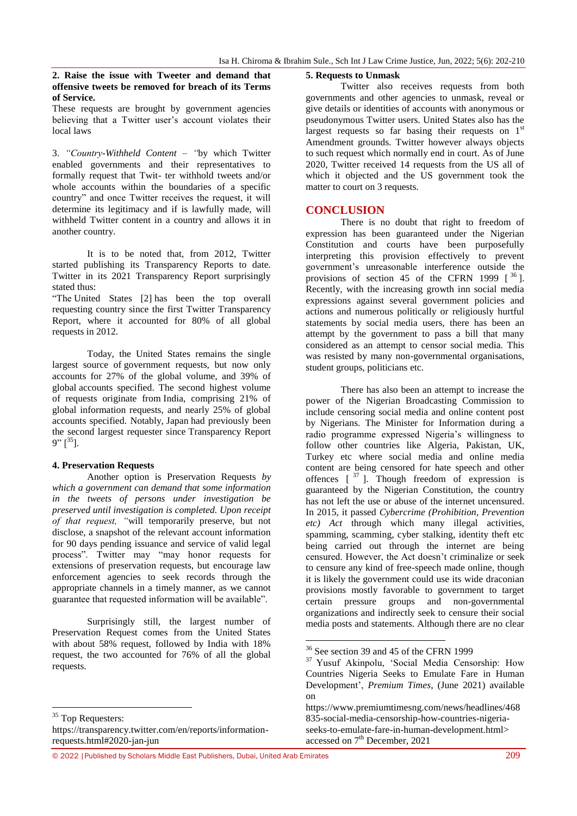# **2. Raise the issue with Tweeter and demand that offensive tweets be removed for breach of its Terms of Service.**

These requests are brought by government agencies believing that a Twitter user's account violates their local laws

3. *"Country-Withheld Content – "*by which Twitter enabled governments and their representatives to formally request that Twit- ter withhold tweets and/or whole accounts within the boundaries of a specific country" and once Twitter receives the request, it will determine its legitimacy and if is lawfully made, will withheld Twitter content in a country and allows it in another country.

It is to be noted that, from 2012, Twitter started publishing its Transparency Reports to date. Twitter in its 2021 Transparency Report surprisingly stated thus:

"The [United States](https://transparency.twitter.com/en/reports/countries/us.html) [\[2\]](https://transparency.twitter.com/en/reports/information-requests.html#anchor-9-1) has been the top overall requesting country since the first Twitter Transparency Report, where it accounted for 80% of all global requests in 2012.

Today, the United States remains the single largest source of government requests, but now only accounts for 27% of the global volume, and 39% of global accounts specified. The second highest volume of requests originate from [India,](https://transparency.twitter.com/en/reports/countries/in.html) comprising 21% of global information requests, and nearly 25% of global accounts specified. Notably, [Japan](https://transparency.twitter.com/en/reports/countries/jp.html) had previously been the second largest requester since [Transparency Report](https://transparency.twitter.com/en/reports/information-requests.html#2016-jan-jun)   $9"$   $\lceil^{35}$ ].

# **4. Preservation Requests**

Another option is Preservation Requests *by which a government can demand that some information in the tweets of persons under investigation be preserved until investigation is completed. Upon receipt of that request, "*will temporarily preserve, but not disclose, a snapshot of the relevant account information for 90 days pending issuance and service of valid legal process". Twitter may "may honor requests for extensions of preservation requests, but encourage law enforcement agencies to seek records through the appropriate channels in a timely manner, as we cannot guarantee that requested information will be available".

Surprisingly still, the largest number of Preservation Request comes from the United States with about 58% request, followed by India with 18% request, the two accounted for 76% of all the global requests.

#### $\overline{\phantom{a}}$ <sup>35</sup> Top Requesters:

[https://transparency.twitter.com/en/reports/information](https://transparency.twitter.com/en/reports/information-requests.html#2020-jan-jun)[requests.html#2020-jan-jun](https://transparency.twitter.com/en/reports/information-requests.html#2020-jan-jun)

Twitter also receives requests from both governments and other agencies to unmask, reveal or give details or identities of accounts with anonymous or pseudonymous Twitter users. United States also has the largest requests so far basing their requests on  $1<sup>st</sup>$ Amendment grounds. Twitter however always objects to such request which normally end in court. As of June 2020, Twitter received 14 requests from the US all of which it objected and the US government took the matter to court on 3 requests.

# **CONCLUSION**

There is no doubt that right to freedom of expression has been guaranteed under the Nigerian Constitution and courts have been purposefully interpreting this provision effectively to prevent government"s unreasonable interference outside the provisions of section 45 of the CFRN 1999  $\int^{36}$ ]. Recently, with the increasing growth inn social media expressions against several government policies and actions and numerous politically or religiously hurtful statements by social media users, there has been an attempt by the government to pass a bill that many considered as an attempt to censor social media. This was resisted by many non-governmental organisations, student groups, politicians etc.

There has also been an attempt to increase the power of the Nigerian Broadcasting Commission to include censoring social media and online content post by Nigerians. The Minister for Information during a radio programme expressed Nigeria"s willingness to follow other countries like Algeria, Pakistan, UK, Turkey etc where social media and online media content are being censored for hate speech and other offences  $\begin{bmatrix} 37 \end{bmatrix}$ . Though freedom of expression is guaranteed by the Nigerian Constitution, the country has not left the use or abuse of the internet uncensured. In 2015, it passed *Cybercrime (Prohibition, Prevention etc) Act* through which many illegal activities, spamming, scamming, cyber stalking, identity theft etc being carried out through the internet are being censured. However, the Act doesn"t criminalize or seek to censure any kind of free-speech made online, though it is likely the government could use its wide draconian provisions mostly favorable to government to target certain pressure groups and non-governmental organizations and indirectly seek to censure their social media posts and statements. Although there are no clear

1

**<sup>5.</sup> Requests to Unmask**

<sup>&</sup>lt;sup>36</sup> See section 39 and 45 of the CFRN 1999

<sup>37</sup> Yusuf Akinpolu, "Social Media Censorship: How Countries Nigeria Seeks to Emulate Fare in Human Development", *Premium Times*, (June 2021) available on

[https://www.premiumtimesng.com/news/headlines/468](https://www.premiumtimesng.com/news/headlines/468835-social-media-censorship-how-countries-nigeria-seeks-to-emulate-fare-in-human-development.html) [835-social-media-censorship-how-countries-nigeria](https://www.premiumtimesng.com/news/headlines/468835-social-media-censorship-how-countries-nigeria-seeks-to-emulate-fare-in-human-development.html)[seeks-to-emulate-fare-in-human-development.html>](https://www.premiumtimesng.com/news/headlines/468835-social-media-censorship-how-countries-nigeria-seeks-to-emulate-fare-in-human-development.html) accessed on  $7<sup>th</sup>$  December, 2021

<sup>© 2022</sup> |Published by Scholars Middle East Publishers, Dubai, United Arab Emirates 209